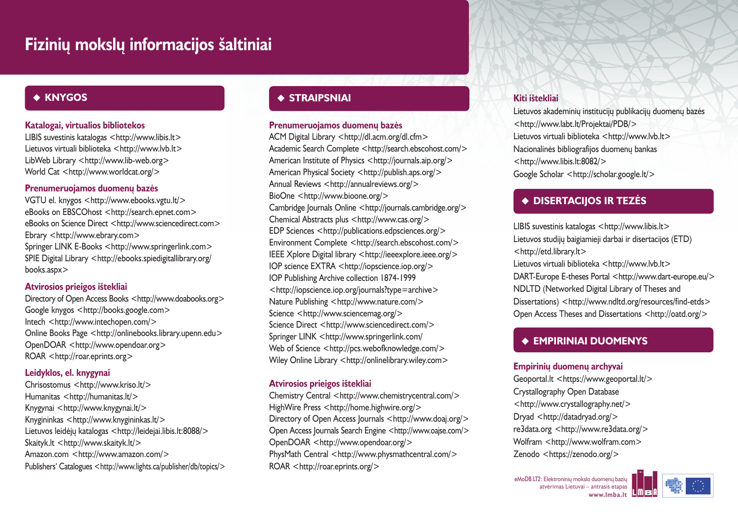# **Fiziniø mokslø informacijos ðaltiniai**

# ◆ KNYGOS

### **Katalogai, virtualios bibliotekos**

LIBIS suvestinis katalogas <http://www.libis.lt> Lietuvos virtuali biblioteka <http://www.lvb.lt> LibWeb Library <http://www.lib-web.org> World Cat <http://www.worldcat.org/>

### Prenumeruojamos duomenų bazės

VGTU el. knygos <http://www.ebooks.vgtu.lt/> eBooks on EBSCOhost <http://search.epnet.com> eBooks on Science Direct <http://www.sciencedirect.com> Ebrary <http://www.ebrary.com> Springer LINK E-Books <http://www.springerlink.com> SPIE Digital Library <http://ebooks.spiedigitallibrary.org/ books.aspx>

### **Atvirosios prieigos ištekliai**

Directory of Open Access Books <http://www.doabooks.org> Google knygos <http://books.google.com> Intech <http://www.intechopen.com/> Online Books Page <http://onlinebooks.library.upenn.edu> OpenDOAR <http://www.opendoar.org> ROAR <http://roar.eprints.org>

# **Leidyklos, el. knygynai**

Chrisostomus <http://www.kriso.lt/> Humanitas <http://humanitas.lt/> Knygynai <http://www.knygynai.lt/> Knygininkas <http://www.knygininkas.lt/> Lietuvos leidėjų katalogas <http://leidejai.libis.lt:8088/> Skaityk.lt <http://www.skaityk.lt/> Amazon.com <http://www.amazon.com/> Publishers' Catalogues <http://www.lights.ca/publisher/db/topics/>

# **STRAIPSNIAI**

#### **Prenumeruojamos duomenø bazës**

ACM Digital Library <http://dl.acm.org/dl.cfm> Academic Search Complete <http://search.ebscohost.com/> American Institute of Physics <http://journals.aip.org/> American Physical Society <http://publish.aps.org/> Annual Reviews <http://annualreviews.org/> BioOne <http://www.bioone.org/> Cambridge Journals Online <http://journals.cambridge.org/> Chemical Abstracts plus <http://www.cas.org/> EDP Sciences <http://publications.edpsciences.org/> Environment Complete <http://search.ebscohost.com/> IEEE Xplore Digital library <http://ieeexplore.ieee.org/> IOP science EXTRA <http://iopscience.iop.org/> IOP Publishing Archive collection 1874-1999 <http://iopscience.iop.org/journals?type=archive> Nature Publishing <http://www.nature.com/> Science <http://www.sciencemag.org/> Science Direct <http://www.sciencedirect.com/> Springer LINK <http://www.springerlink.com/ Web of Science <http://pcs.webofknowledge.com/> Wiley Online Library <http://onlinelibrary.wiley.com>

### **Atvirosios prieigos ištekliai**

Chemistry Central <http://www.chemistrycentral.com/> HighWire Press <http://home.highwire.org/> Directory of Open Access Journals <http://www.doai.org/> Open Access Journals Search Engine <http://www.oajse.com/> OpenDOAR <http://www.opendoar.org/> PhysMath Central <http://www.physmathcentral.com/> ROAR <http://roar.eprints.org/>

# **Kiti ištekliai**

Lietuvos akademinių institucijų publikacijų duomenų bazės <http://www.labt.lt/Projektai/PDB/> Lietuvos virtuali biblioteka <http://www.lvb.lt> Nacionalinės bibliografijos duomenų bankas <http://www.libis.lt:8082/> Google Scholar <http://scholar.google.lt/>

# **DISERTACIJOS IR TEZËS**

LIBIS suvestinis katalogas <http://www.libis.lt> Lietuvos studijø baigiamieji darbai ir disertacijos (ETD) <http://etd.library.lt>

Lietuvos virtuali biblioteka <http://www.lvb.lt> DART-Europe E-theses Portal <http://www.dart-europe.eu/> NDLTD (Networked Digital Library of Theses and Dissertations) <http://www.ndltd.org/resources/find-etds> Open Access Theses and Dissertations <http://oatd.org/>

# **EMPIRINIAI DUOMENYS**

### **Empiriniø duomenø archyvai**

Geoportal.lt <https://www.geoportal.lt/> Crystallography Open Database <http://www.crystallography.net/> Dryad <http://datadryad.org/> re3data.org <http://www.re3data.org/> Wolfram <http://www.wolfram.com> Zenodo <https://zenodo.org/>

eMoDB.LT2: Elektroniniy mokslo duomeny baziy atvërimas Lietuvai – antrasis etapas **www.lmba.lt**